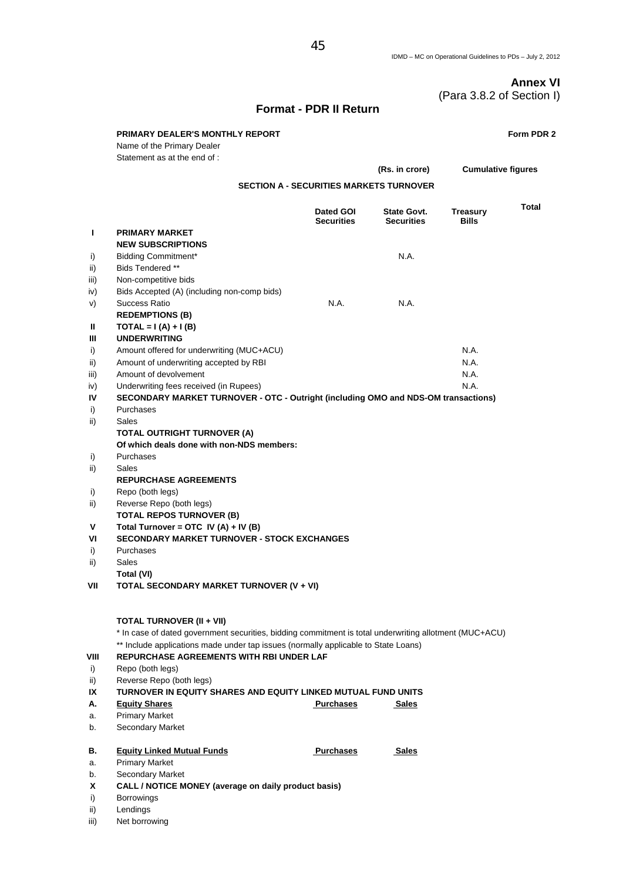# **Annex VI**  (Para 3.8.2 of Section I)

# **Format - PDR II Return**

|           | <b>PRIMARY DEALER'S MONTHLY REPORT</b><br>Name of the Primary Dealer<br>Statement as at the end of :   |                                |                                         |                                 | Form PDR 2   |  |
|-----------|--------------------------------------------------------------------------------------------------------|--------------------------------|-----------------------------------------|---------------------------------|--------------|--|
|           |                                                                                                        |                                | (Rs. in crore)                          | <b>Cumulative figures</b>       |              |  |
|           | <b>SECTION A - SECURITIES MARKETS TURNOVER</b>                                                         |                                |                                         |                                 |              |  |
|           |                                                                                                        | Dated GOI<br><b>Securities</b> | <b>State Govt.</b><br><b>Securities</b> | <b>Treasury</b><br><b>Bills</b> | <b>Total</b> |  |
| L         | <b>PRIMARY MARKET</b>                                                                                  |                                |                                         |                                 |              |  |
|           | <b>NEW SUBSCRIPTIONS</b>                                                                               |                                |                                         |                                 |              |  |
| i)        | <b>Bidding Commitment*</b>                                                                             |                                | N.A.                                    |                                 |              |  |
| ii)       | Bids Tendered **                                                                                       |                                |                                         |                                 |              |  |
| iii)      | Non-competitive bids                                                                                   |                                |                                         |                                 |              |  |
| iv)       | Bids Accepted (A) (including non-comp bids)                                                            |                                |                                         |                                 |              |  |
| V)        | <b>Success Ratio</b>                                                                                   | N.A.                           | N.A.                                    |                                 |              |  |
|           | <b>REDEMPTIONS (B)</b>                                                                                 |                                |                                         |                                 |              |  |
| Ш<br>Ш    | $\text{TOTAL} = I(A) + I(B)$<br><b>UNDERWRITING</b>                                                    |                                |                                         |                                 |              |  |
| i)        | Amount offered for underwriting (MUC+ACU)                                                              |                                |                                         | N.A.                            |              |  |
| ii)       | Amount of underwriting accepted by RBI                                                                 |                                |                                         | N.A.                            |              |  |
| iii)      | Amount of devolvement                                                                                  |                                |                                         | N.A.                            |              |  |
| iv)       | Underwriting fees received (in Rupees)                                                                 |                                |                                         | N.A.                            |              |  |
| IV        | SECONDARY MARKET TURNOVER - OTC - Outright (including OMO and NDS-OM transactions)                     |                                |                                         |                                 |              |  |
| i)        | Purchases                                                                                              |                                |                                         |                                 |              |  |
| ii)       | Sales                                                                                                  |                                |                                         |                                 |              |  |
|           | <b>TOTAL OUTRIGHT TURNOVER (A)</b>                                                                     |                                |                                         |                                 |              |  |
|           | Of which deals done with non-NDS members:                                                              |                                |                                         |                                 |              |  |
| i)        | Purchases                                                                                              |                                |                                         |                                 |              |  |
| ii)       | Sales                                                                                                  |                                |                                         |                                 |              |  |
|           | <b>REPURCHASE AGREEMENTS</b>                                                                           |                                |                                         |                                 |              |  |
| i)        | Repo (both legs)                                                                                       |                                |                                         |                                 |              |  |
| ii)       | Reverse Repo (both legs)<br><b>TOTAL REPOS TURNOVER (B)</b>                                            |                                |                                         |                                 |              |  |
| V         | Total Turnover = OTC IV (A) + IV (B)                                                                   |                                |                                         |                                 |              |  |
| VI        | <b>SECONDARY MARKET TURNOVER - STOCK EXCHANGES</b>                                                     |                                |                                         |                                 |              |  |
| i)        | Purchases                                                                                              |                                |                                         |                                 |              |  |
| ii)       | Sales                                                                                                  |                                |                                         |                                 |              |  |
|           | Total (VI)                                                                                             |                                |                                         |                                 |              |  |
| VII       | TOTAL SECONDARY MARKET TURNOVER (V + VI)                                                               |                                |                                         |                                 |              |  |
|           |                                                                                                        |                                |                                         |                                 |              |  |
|           | <b>TOTAL TURNOVER (II + VII)</b>                                                                       |                                |                                         |                                 |              |  |
|           | * In case of dated government securities, bidding commitment is total underwriting allotment (MUC+ACU) |                                |                                         |                                 |              |  |
|           | ** Include applications made under tap issues (normally applicable to State Loans)                     |                                |                                         |                                 |              |  |
| VIII      | <b>REPURCHASE AGREEMENTS WITH RBI UNDER LAF</b>                                                        |                                |                                         |                                 |              |  |
| i)<br>ii) | Repo (both legs)<br>Reverse Repo (both legs)                                                           |                                |                                         |                                 |              |  |
| IX        | TURNOVER IN EQUITY SHARES AND EQUITY LINKED MUTUAL FUND UNITS                                          |                                |                                         |                                 |              |  |
| А.        | <b>Equity Shares</b>                                                                                   | <b>Purchases</b>               | Sales                                   |                                 |              |  |
| а.        | <b>Primary Market</b>                                                                                  |                                |                                         |                                 |              |  |
| b.        | Secondary Market                                                                                       |                                |                                         |                                 |              |  |
| В.        | <b>Equity Linked Mutual Funds</b>                                                                      | <b>Purchases</b>               | <b>Sales</b>                            |                                 |              |  |
| а.        | <b>Primary Market</b>                                                                                  |                                |                                         |                                 |              |  |
| b.        | Secondary Market                                                                                       |                                |                                         |                                 |              |  |
| X         | CALL / NOTICE MONEY (average on daily product basis)                                                   |                                |                                         |                                 |              |  |
| i)        | <b>Borrowings</b>                                                                                      |                                |                                         |                                 |              |  |
| ii)       | Lendings                                                                                               |                                |                                         |                                 |              |  |
| iii)      | Net borrowing                                                                                          |                                |                                         |                                 |              |  |